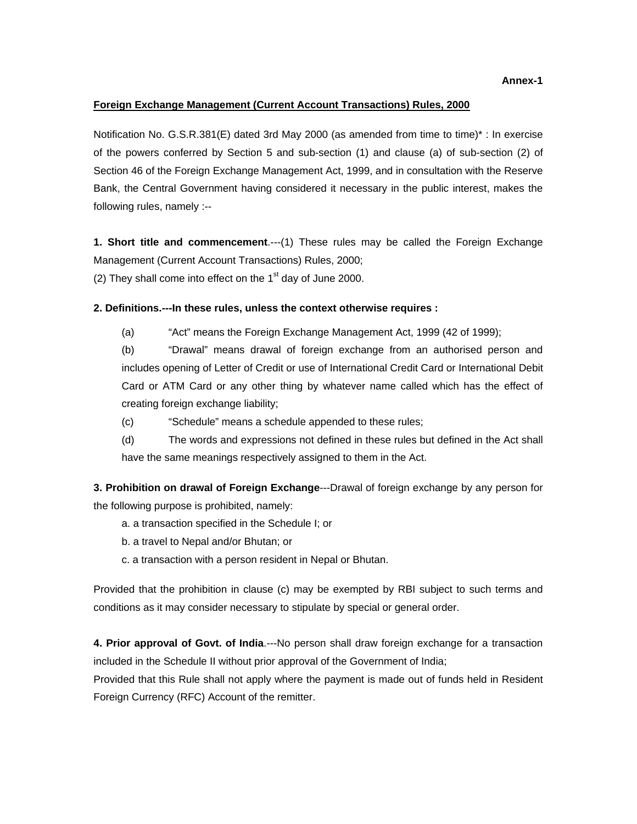**Annex-1**

#### **Foreign Exchange Management (Current Account Transactions) Rules, 2000**

Notification No. G.S.R.381(E) dated 3rd May 2000 (as amended from time to time)\* : In exercise of the powers conferred by Section 5 and sub-section (1) and clause (a) of sub-section (2) of Section 46 of the Foreign Exchange Management Act, 1999, and in consultation with the Reserve Bank, the Central Government having considered it necessary in the public interest, makes the following rules, namely :--

**1. Short title and commencement**.---(1) These rules may be called the Foreign Exchange Management (Current Account Transactions) Rules, 2000;

(2) They shall come into effect on the  $1<sup>st</sup>$  day of June 2000.

### **2. Definitions.---In these rules, unless the context otherwise requires :**

(a) "Act" means the Foreign Exchange Management Act, 1999 (42 of 1999);

(b) "Drawal" means drawal of foreign exchange from an authorised person and includes opening of Letter of Credit or use of International Credit Card or International Debit Card or ATM Card or any other thing by whatever name called which has the effect of creating foreign exchange liability;

(c) "Schedule" means a schedule appended to these rules;

(d) The words and expressions not defined in these rules but defined in the Act shall have the same meanings respectively assigned to them in the Act.

**3. Prohibition on drawal of Foreign Exchange**---Drawal of foreign exchange by any person for the following purpose is prohibited, namely:

- a. a transaction specified in the Schedule I; or
- b. a travel to Nepal and/or Bhutan; or
- c. a transaction with a person resident in Nepal or Bhutan.

Provided that the prohibition in clause (c) may be exempted by RBI subject to such terms and conditions as it may consider necessary to stipulate by special or general order.

**4. Prior approval of Govt. of India**.---No person shall draw foreign exchange for a transaction included in the Schedule II without prior approval of the Government of India;

Provided that this Rule shall not apply where the payment is made out of funds held in Resident Foreign Currency (RFC) Account of the remitter.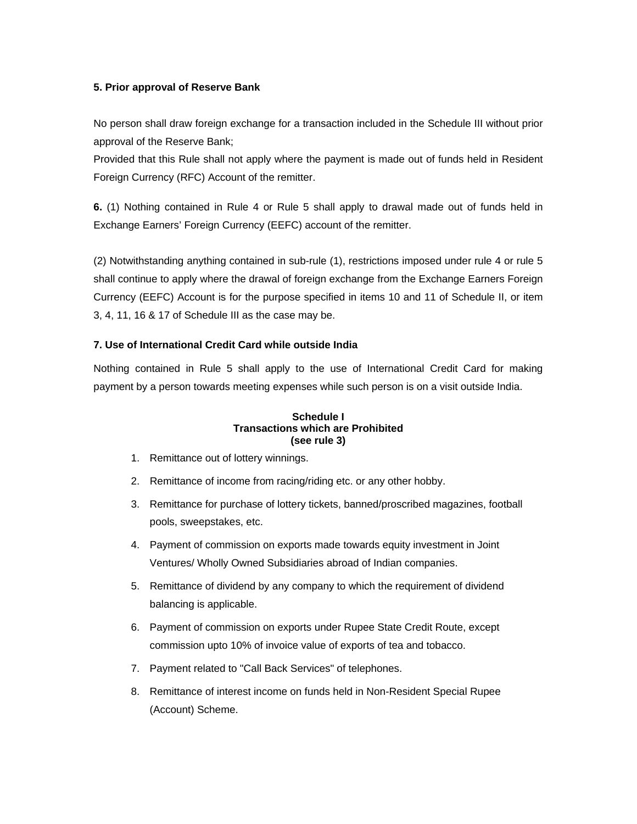### **5. Prior approval of Reserve Bank**

No person shall draw foreign exchange for a transaction included in the Schedule III without prior approval of the Reserve Bank;

Provided that this Rule shall not apply where the payment is made out of funds held in Resident Foreign Currency (RFC) Account of the remitter.

**6.** (1) Nothing contained in Rule 4 or Rule 5 shall apply to drawal made out of funds held in Exchange Earners' Foreign Currency (EEFC) account of the remitter.

(2) Notwithstanding anything contained in sub-rule (1), restrictions imposed under rule 4 or rule 5 shall continue to apply where the drawal of foreign exchange from the Exchange Earners Foreign Currency (EEFC) Account is for the purpose specified in items 10 and 11 of Schedule II, or item 3, 4, 11, 16 & 17 of Schedule III as the case may be.

### **7. Use of International Credit Card while outside India**

Nothing contained in Rule 5 shall apply to the use of International Credit Card for making payment by a person towards meeting expenses while such person is on a visit outside India.

#### **Schedule I Transactions which are Prohibited (see rule 3)**

- 1. Remittance out of lottery winnings.
- 2. Remittance of income from racing/riding etc. or any other hobby.
- 3. Remittance for purchase of lottery tickets, banned/proscribed magazines, football pools, sweepstakes, etc.
- 4. Payment of commission on exports made towards equity investment in Joint Ventures/ Wholly Owned Subsidiaries abroad of Indian companies.
- 5. Remittance of dividend by any company to which the requirement of dividend balancing is applicable.
- 6. Payment of commission on exports under Rupee State Credit Route, except commission upto 10% of invoice value of exports of tea and tobacco.
- 7. Payment related to "Call Back Services" of telephones.
- 8. Remittance of interest income on funds held in Non-Resident Special Rupee (Account) Scheme.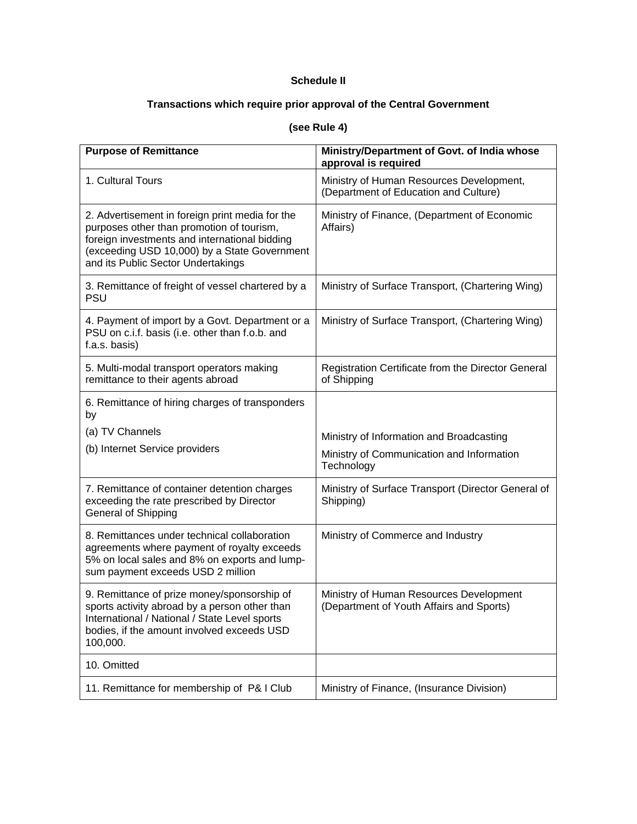## **Schedule II**

# **Transactions which require prior approval of the Central Government**

# **(see Rule 4)**

| <b>Purpose of Remittance</b>                                                                                                                                                                                                        | Ministry/Department of Govt. of India whose<br>approval is required                                 |
|-------------------------------------------------------------------------------------------------------------------------------------------------------------------------------------------------------------------------------------|-----------------------------------------------------------------------------------------------------|
| 1. Cultural Tours                                                                                                                                                                                                                   | Ministry of Human Resources Development,<br>(Department of Education and Culture)                   |
| 2. Advertisement in foreign print media for the<br>purposes other than promotion of tourism,<br>foreign investments and international bidding<br>(exceeding USD 10,000) by a State Government<br>and its Public Sector Undertakings | Ministry of Finance, (Department of Economic<br>Affairs)                                            |
| 3. Remittance of freight of vessel chartered by a<br><b>PSU</b>                                                                                                                                                                     | Ministry of Surface Transport, (Chartering Wing)                                                    |
| 4. Payment of import by a Govt. Department or a<br>PSU on c.i.f. basis (i.e. other than f.o.b. and<br>f.a.s. basis)                                                                                                                 | Ministry of Surface Transport, (Chartering Wing)                                                    |
| 5. Multi-modal transport operators making<br>remittance to their agents abroad                                                                                                                                                      | Registration Certificate from the Director General<br>of Shipping                                   |
| 6. Remittance of hiring charges of transponders<br>by<br>(a) TV Channels<br>(b) Internet Service providers                                                                                                                          | Ministry of Information and Broadcasting<br>Ministry of Communication and Information<br>Technology |
| 7. Remittance of container detention charges<br>exceeding the rate prescribed by Director<br>General of Shipping                                                                                                                    | Ministry of Surface Transport (Director General of<br>Shipping)                                     |
| 8. Remittances under technical collaboration<br>agreements where payment of royalty exceeds<br>5% on local sales and 8% on exports and lump-<br>sum payment exceeds USD 2 million                                                   | Ministry of Commerce and Industry                                                                   |
| 9. Remittance of prize money/sponsorship of<br>sports activity abroad by a person other than<br>International / National / State Level sports<br>bodies, if the amount involved exceeds USD<br>100,000.                             | Ministry of Human Resources Development<br>(Department of Youth Affairs and Sports)                 |
| 10. Omitted                                                                                                                                                                                                                         |                                                                                                     |
| 11. Remittance for membership of P& I Club                                                                                                                                                                                          | Ministry of Finance, (Insurance Division)                                                           |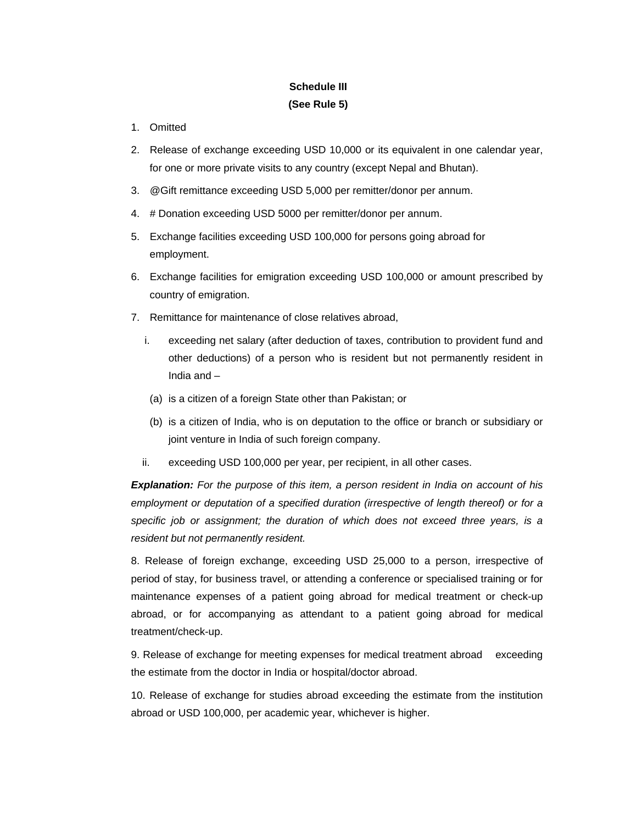# **Schedule III (See Rule 5)**

- 1. Omitted
- 2. Release of exchange exceeding USD 10,000 or its equivalent in one calendar year, for one or more private visits to any country (except Nepal and Bhutan).
- 3. @Gift remittance exceeding USD 5,000 per remitter/donor per annum.
- 4. # Donation exceeding USD 5000 per remitter/donor per annum.
- 5. Exchange facilities exceeding USD 100,000 for persons going abroad for employment.
- 6. Exchange facilities for emigration exceeding USD 100,000 or amount prescribed by country of emigration.
- 7. Remittance for maintenance of close relatives abroad,
	- i. exceeding net salary (after deduction of taxes, contribution to provident fund and other deductions) of a person who is resident but not permanently resident in India and –
		- (a) is a citizen of a foreign State other than Pakistan; or
		- (b) is a citizen of India, who is on deputation to the office or branch or subsidiary or joint venture in India of such foreign company.
	- ii. exceeding USD 100,000 per year, per recipient, in all other cases.

*Explanation: For the purpose of this item, a person resident in India on account of his employment or deputation of a specified duration (irrespective of length thereof) or for a specific job or assignment; the duration of which does not exceed three years, is a resident but not permanently resident.* 

8. Release of foreign exchange, exceeding USD 25,000 to a person, irrespective of period of stay, for business travel, or attending a conference or specialised training or for maintenance expenses of a patient going abroad for medical treatment or check-up abroad, or for accompanying as attendant to a patient going abroad for medical treatment/check-up.

9. Release of exchange for meeting expenses for medical treatment abroad exceeding the estimate from the doctor in India or hospital/doctor abroad.

10. Release of exchange for studies abroad exceeding the estimate from the institution abroad or USD 100,000, per academic year, whichever is higher.